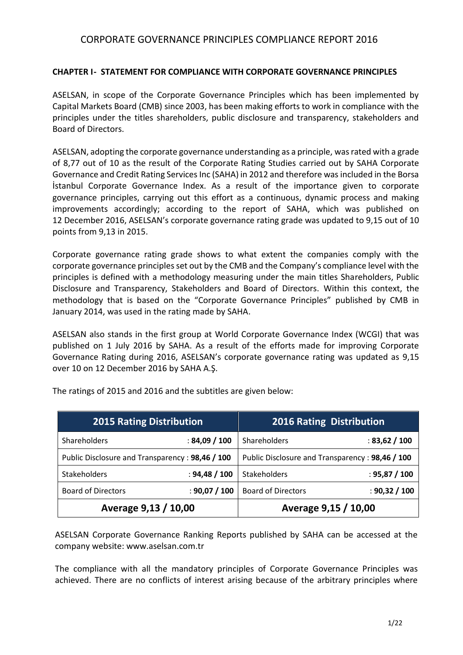### **CHAPTER I- STATEMENT FOR COMPLIANCE WITH CORPORATE GOVERNANCE PRINCIPLES**

ASELSAN, in scope of the Corporate Governance Principles which has been implemented by Capital Markets Board (CMB) since 2003, has been making efforts to work in compliance with the principles under the titles shareholders, public disclosure and transparency, stakeholders and Board of Directors.

ASELSAN, adopting the corporate governance understanding as a principle, was rated with a grade of 8,77 out of 10 as the result of the Corporate Rating Studies carried out by SAHA Corporate Governance and Credit Rating Services Inc (SAHA) in 2012 and therefore was included in the Borsa İstanbul Corporate Governance Index. As a result of the importance given to corporate governance principles, carrying out this effort as a continuous, dynamic process and making improvements accordingly; according to the report of SAHA, which was published on 12 December 2016, ASELSAN's corporate governance rating grade was updated to 9,15 out of 10 points from 9,13 in 2015.

Corporate governance rating grade shows to what extent the companies comply with the corporate governance principles set out by the CMB and the Company's compliance level with the principles is defined with a methodology measuring under the main titles Shareholders, Public Disclosure and Transparency, Stakeholders and Board of Directors. Within this context, the methodology that is based on the "Corporate Governance Principles" published by CMB in January 2014, was used in the rating made by SAHA.

ASELSAN also stands in the first group at World Corporate Governance Index (WCGI) that was published on 1 July 2016 by SAHA. As a result of the efforts made for improving Corporate Governance Rating during 2016, ASELSAN's corporate governance rating was updated as 9,15 over 10 on 12 December 2016 by SAHA A.Ş.

| <b>2015 Rating Distribution</b>                 |               | <b>2016 Rating Distribution</b>                 |               |
|-------------------------------------------------|---------------|-------------------------------------------------|---------------|
| Shareholders                                    | : 84,09 / 100 | Shareholders                                    | : 83,62 / 100 |
| Public Disclosure and Transparency: 98,46 / 100 |               | Public Disclosure and Transparency: 98,46 / 100 |               |
| Stakeholders                                    | : 94,48 / 100 | <b>Stakeholders</b>                             | : 95,87 / 100 |
| <b>Board of Directors</b>                       | : 90,07 / 100 | <b>Board of Directors</b>                       | : 90,32 / 100 |
| Average 9,13 / 10,00                            |               | Average 9,15 / 10,00                            |               |

The ratings of 2015 and 2016 and the subtitles are given below:

ASELSAN Corporate Governance Ranking Reports published by SAHA can be accessed at the company website: [www.aselsan.com.](http://www.aselsan.com/)tr

The compliance with all the mandatory principles of Corporate Governance Principles was achieved. There are no conflicts of interest arising because of the arbitrary principles where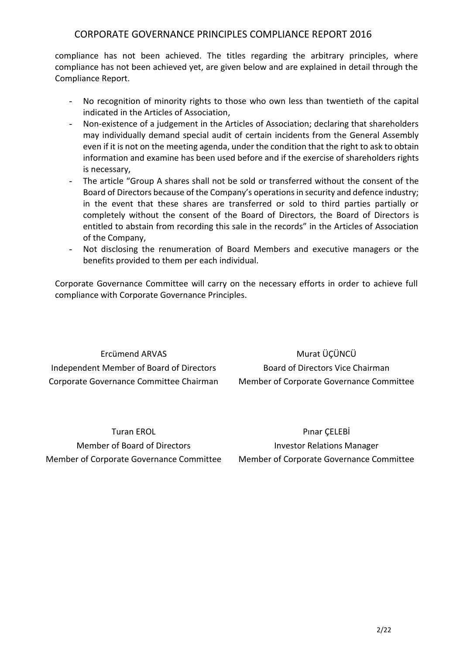compliance has not been achieved. The titles regarding the arbitrary principles, where compliance has not been achieved yet, are given below and are explained in detail through the Compliance Report.

- No recognition of minority rights to those who own less than twentieth of the capital indicated in the Articles of Association,
- Non-existence of a judgement in the Articles of Association; declaring that shareholders may individually demand special audit of certain incidents from the General Assembly even if it is not on the meeting agenda, under the condition that the right to ask to obtain information and examine has been used before and if the exercise of shareholders rights is necessary,
- The article "Group A shares shall not be sold or transferred without the consent of the Board of Directors because of the Company's operations in security and defence industry; in the event that these shares are transferred or sold to third parties partially or completely without the consent of the Board of Directors, the Board of Directors is entitled to abstain from recording this sale in the records" in the Articles of Association of the Company,
- Not disclosing the renumeration of Board Members and executive managers or the benefits provided to them per each individual.

Corporate Governance Committee will carry on the necessary efforts in order to achieve full compliance with Corporate Governance Principles.

Ercümend ARVAS Independent Member of Board of Directors Corporate Governance Committee Chairman

Murat ÜÇÜNCÜ Board of Directors Vice Chairman Member of Corporate Governance Committee

Turan EROL Member of Board of Directors Member of Corporate Governance Committee

Pınar ÇELEBİ Investor Relations Manager Member of Corporate Governance Committee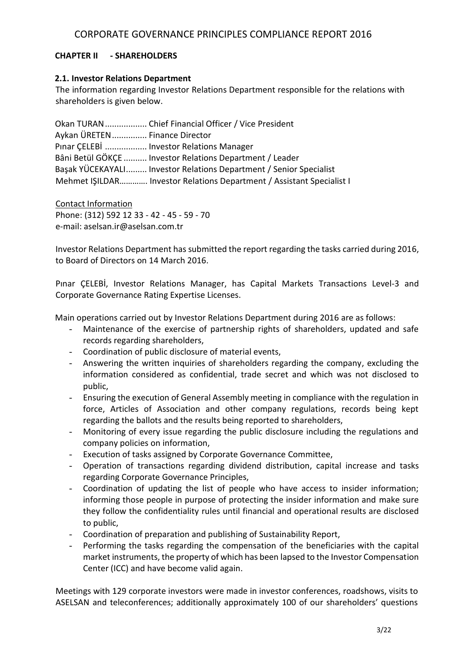### **CHAPTER II - SHAREHOLDERS**

#### **2.1. Investor Relations Department**

The information regarding Investor Relations Department responsible for the relations with shareholders is given below.

Okan TURAN.................. Chief Financial Officer / Vice President Aykan ÜRETEN............... Finance Director Pınar ÇELEBİ .................. Investor Relations Manager Bâni Betül GÖKÇE .......... Investor Relations Department / Leader Başak YÜCEKAYALI......... Investor Relations Department / Senior Specialist Mehmet IŞILDAR…………. Investor Relations Department / Assistant Specialist I

Contact Information Phone: (312) 592 12 33 - 42 - 45 - 59 - 70 e-mail: aselsan.ir@aselsan.com.tr

Investor Relations Department has submitted the report regarding the tasks carried during 2016, to Board of Directors on 14 March 2016.

Pınar ÇELEBİ, Investor Relations Manager, has Capital Markets Transactions Level-3 and Corporate Governance Rating Expertise Licenses.

Main operations carried out by Investor Relations Department during 2016 are as follows:

- Maintenance of the exercise of partnership rights of shareholders, updated and safe records regarding shareholders,
- Coordination of public disclosure of material events,
- Answering the written inquiries of shareholders regarding the company, excluding the information considered as confidential, trade secret and which was not disclosed to public,
- Ensuring the execution of General Assembly meeting in compliance with the regulation in force, Articles of Association and other company regulations, records being kept regarding the ballots and the results being reported to shareholders,
- Monitoring of every issue regarding the public disclosure including the regulations and company policies on information,
- Execution of tasks assigned by Corporate Governance Committee,
- Operation of transactions regarding dividend distribution, capital increase and tasks regarding Corporate Governance Principles,
- Coordination of updating the list of people who have access to insider information; informing those people in purpose of protecting the insider information and make sure they follow the confidentiality rules until financial and operational results are disclosed to public,
- Coordination of preparation and publishing of Sustainability Report,
- Performing the tasks regarding the compensation of the beneficiaries with the capital market instruments, the property of which has been lapsed to the Investor Compensation Center (ICC) and have become valid again.

Meetings with 129 corporate investors were made in investor conferences, roadshows, visits to ASELSAN and teleconferences; additionally approximately 100 of our shareholders' questions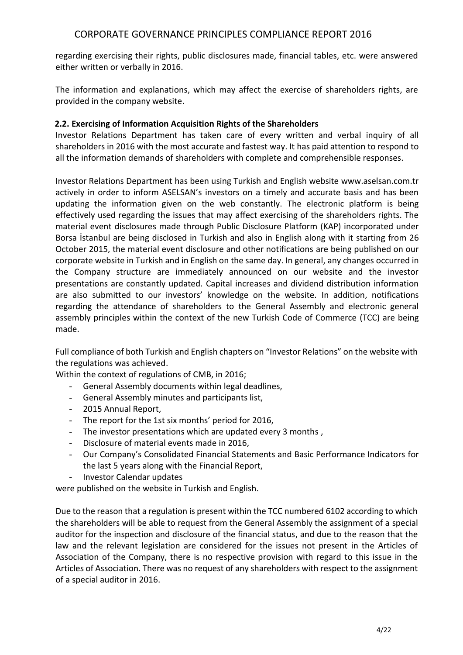regarding exercising their rights, public disclosures made, financial tables, etc. were answered either written or verbally in 2016.

The information and explanations, which may affect the exercise of shareholders rights, are provided in the company website.

### **2.2. Exercising of Information Acquisition Rights of the Shareholders**

Investor Relations Department has taken care of every written and verbal inquiry of all shareholders in 2016 with the most accurate and fastest way. It has paid attention to respond to all the information demands of shareholders with complete and comprehensible responses.

Investor Relations Department has been using Turkish and English website www.aselsan.com.tr actively in order to inform ASELSAN's investors on a timely and accurate basis and has been updating the information given on the web constantly. The electronic platform is being effectively used regarding the issues that may affect exercising of the shareholders rights. The material event disclosures made through Public Disclosure Platform (KAP) incorporated under Borsa İstanbul are being disclosed in Turkish and also in English along with it starting from 26 October 2015, the material event disclosure and other notifications are being published on our corporate website in Turkish and in English on the same day. In general, any changes occurred in the Company structure are immediately announced on our website and the investor presentations are constantly updated. Capital increases and dividend distribution information are also submitted to our investors' knowledge on the website. In addition, notifications regarding the attendance of shareholders to the General Assembly and electronic general assembly principles within the context of the new Turkish Code of Commerce (TCC) are being made.

Full compliance of both Turkish and English chapters on "Investor Relations" on the website with the regulations was achieved.

Within the context of regulations of CMB, in 2016;

- General Assembly documents within legal deadlines,
- General Assembly minutes and participants list,
- 2015 Annual Report,
- The report for the 1st six months' period for 2016,
- The investor presentations which are updated every 3 months ,
- Disclosure of material events made in 2016,
- Our Company's Consolidated Financial Statements and Basic Performance Indicators for the last 5 years along with the Financial Report,
- Investor Calendar updates

were published on the website in Turkish and English.

Due to the reason that a regulation is present within the TCC numbered 6102 according to which the shareholders will be able to request from the General Assembly the assignment of a special auditor for the inspection and disclosure of the financial status, and due to the reason that the law and the relevant legislation are considered for the issues not present in the Articles of Association of the Company, there is no respective provision with regard to this issue in the Articles of Association. There was no request of any shareholders with respect to the assignment of a special auditor in 2016.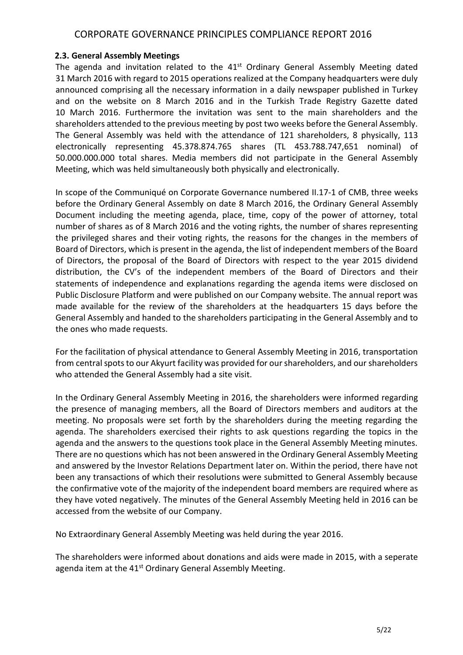#### **2.3. General Assembly Meetings**

The agenda and invitation related to the  $41<sup>st</sup>$  Ordinary General Assembly Meeting dated 31 March 2016 with regard to 2015 operations realized at the Company headquarters were duly announced comprising all the necessary information in a daily newspaper published in Turkey and on the website on 8 March 2016 and in the Turkish Trade Registry Gazette dated 10 March 2016. Furthermore the invitation was sent to the main shareholders and the shareholders attended to the previous meeting by post two weeks before the General Assembly. The General Assembly was held with the attendance of 121 shareholders, 8 physically, 113 electronically representing 45.378.874.765 shares (TL 453.788.747,651 nominal) of 50.000.000.000 total shares. Media members did not participate in the General Assembly Meeting, which was held simultaneously both physically and electronically.

In scope of the Communiqué on Corporate Governance numbered II.17-1 of CMB, three weeks before the Ordinary General Assembly on date 8 March 2016, the Ordinary General Assembly Document including the meeting agenda, place, time, copy of the power of attorney, total number of shares as of 8 March 2016 and the voting rights, the number of shares representing the privileged shares and their voting rights, the reasons for the changes in the members of Board of Directors, which is present in the agenda, the list of independent members of the Board of Directors, the proposal of the Board of Directors with respect to the year 2015 dividend distribution, the CV's of the independent members of the Board of Directors and their statements of independence and explanations regarding the agenda items were disclosed on Public Disclosure Platform and were published on our Company website. The annual report was made available for the review of the shareholders at the headquarters 15 days before the General Assembly and handed to the shareholders participating in the General Assembly and to the ones who made requests.

For the facilitation of physical attendance to General Assembly Meeting in 2016, transportation from central spots to our Akyurt facility was provided for our shareholders, and our shareholders who attended the General Assembly had a site visit.

In the Ordinary General Assembly Meeting in 2016, the shareholders were informed regarding the presence of managing members, all the Board of Directors members and auditors at the meeting. No proposals were set forth by the shareholders during the meeting regarding the agenda. The shareholders exercised their rights to ask questions regarding the topics in the agenda and the answers to the questions took place in the General Assembly Meeting minutes. There are no questions which has not been answered in the Ordinary General Assembly Meeting and answered by the Investor Relations Department later on. Within the period, there have not been any transactions of which their resolutions were submitted to General Assembly because the confirmative vote of the majority of the independent board members are required where as they have voted negatively. The minutes of the General Assembly Meeting held in 2016 can be accessed from the website of our Company.

No Extraordinary General Assembly Meeting was held during the year 2016.

The shareholders were informed about donations and aids were made in 2015, with a seperate agenda item at the 41<sup>st</sup> Ordinary General Assembly Meeting.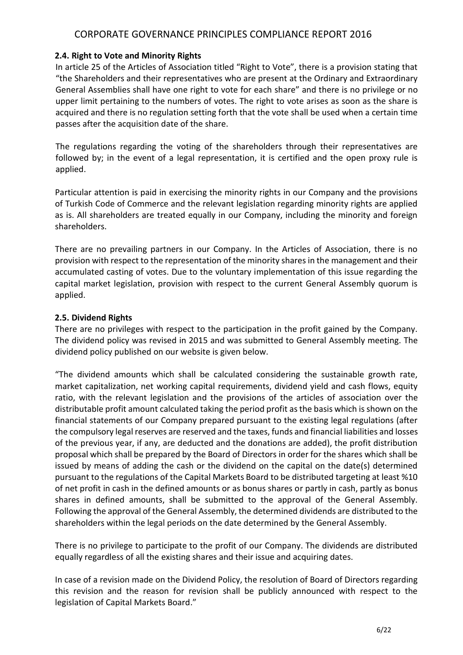#### **2.4. Right to Vote and Minority Rights**

In article 25 of the Articles of Association titled "Right to Vote", there is a provision stating that "the Shareholders and their representatives who are present at the Ordinary and Extraordinary General Assemblies shall have one right to vote for each share" and there is no privilege or no upper limit pertaining to the numbers of votes. The right to vote arises as soon as the share is acquired and there is no regulation setting forth that the vote shall be used when a certain time passes after the acquisition date of the share.

The regulations regarding the voting of the shareholders through their representatives are followed by; in the event of a legal representation, it is certified and the open proxy rule is applied.

Particular attention is paid in exercising the minority rights in our Company and the provisions of Turkish Code of Commerce and the relevant legislation regarding minority rights are applied as is. All shareholders are treated equally in our Company, including the minority and foreign shareholders.

There are no prevailing partners in our Company. In the Articles of Association, there is no provision with respect to the representation of the minority shares in the management and their accumulated casting of votes. Due to the voluntary implementation of this issue regarding the capital market legislation, provision with respect to the current General Assembly quorum is applied.

### **2.5. Dividend Rights**

There are no privileges with respect to the participation in the profit gained by the Company. The dividend policy was revised in 2015 and was submitted to General Assembly meeting. The dividend policy published on our website is given below.

"The dividend amounts which shall be calculated considering the sustainable growth rate, market capitalization, net working capital requirements, dividend yield and cash flows, equity ratio, with the relevant legislation and the provisions of the articles of association over the distributable profit amount calculated taking the period profit as the basis which is shown on the financial statements of our Company prepared pursuant to the existing legal regulations (after the compulsory legal reserves are reserved and the taxes, funds and financial liabilities and losses of the previous year, if any, are deducted and the donations are added), the profit distribution proposal which shall be prepared by the Board of Directors in order for the shares which shall be issued by means of adding the cash or the dividend on the capital on the date(s) determined pursuant to the regulations of the Capital Markets Board to be distributed targeting at least %10 of net profit in cash in the defined amounts or as bonus shares or partly in cash, partly as bonus shares in defined amounts, shall be submitted to the approval of the General Assembly. Following the approval of the General Assembly, the determined dividends are distributed to the shareholders within the legal periods on the date determined by the General Assembly.

There is no privilege to participate to the profit of our Company. The dividends are distributed equally regardless of all the existing shares and their issue and acquiring dates.

In case of a revision made on the Dividend Policy, the resolution of Board of Directors regarding this revision and the reason for revision shall be publicly announced with respect to the legislation of Capital Markets Board."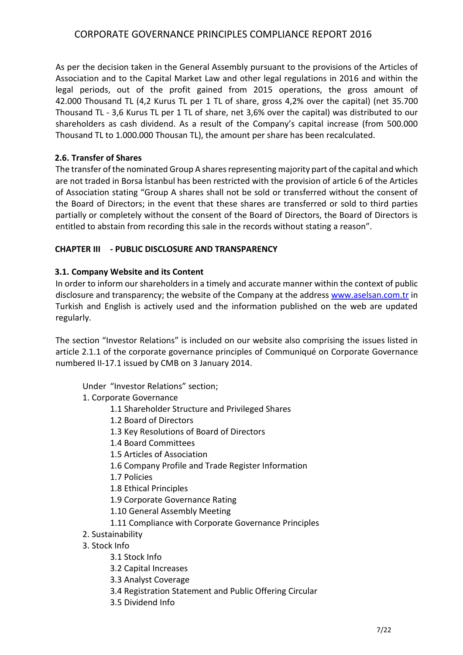As per the decision taken in the General Assembly pursuant to the provisions of the Articles of Association and to the Capital Market Law and other legal regulations in 2016 and within the legal periods, out of the profit gained from 2015 operations, the gross amount of 42.000 Thousand TL (4,2 Kurus TL per 1 TL of share, gross 4,2% over the capital) (net 35.700 Thousand TL - 3,6 Kurus TL per 1 TL of share, net 3,6% over the capital) was distributed to our shareholders as cash dividend. As a result of the Company's capital increase (from 500.000 Thousand TL to 1.000.000 Thousan TL), the amount per share has been recalculated.

### **2.6. Transfer of Shares**

The transfer of the nominated Group A shares representing majority part of the capital and which are not traded in Borsa İstanbul has been restricted with the provision of article 6 of the Articles of Association stating "Group A shares shall not be sold or transferred without the consent of the Board of Directors; in the event that these shares are transferred or sold to third parties partially or completely without the consent of the Board of Directors, the Board of Directors is entitled to abstain from recording this sale in the records without stating a reason".

### **CHAPTER III - PUBLIC DISCLOSURE AND TRANSPARENCY**

### **3.1. Company Website and its Content**

In order to inform our shareholders in a timely and accurate manner within the context of public disclosure and transparency; the website of the Company at the address [www.aselsan.com.tr](http://www.aselsan.com.tr/) in Turkish and English is actively used and the information published on the web are updated regularly.

The section "Investor Relations" is included on our website also comprising the issues listed in article 2.1.1 of the corporate governance principles of Communiqué on Corporate Governance numbered II-17.1 issued by CMB on 3 January 2014.

Under "Investor Relations" section;

- 1. Corporate Governance
	- 1.1 Shareholder Structure and Privileged Shares
	- 1.2 Board of Directors
	- 1.3 Key Resolutions of Board of Directors
	- 1.4 Board Committees
	- 1.5 Articles of Association
	- 1.6 Company Profile and Trade Register Information
	- 1.7 Policies
	- 1.8 Ethical Principles
	- 1.9 Corporate Governance Rating
	- 1.10 General Assembly Meeting
	- 1.11 Compliance with Corporate Governance Principles
- 2. Sustainability
- 3. Stock Info
	- 3.1 Stock Info
	- 3.2 Capital Increases
	- 3.3 Analyst Coverage
	- 3.4 Registration Statement and Public Offering Circular
	- 3.5 Dividend Info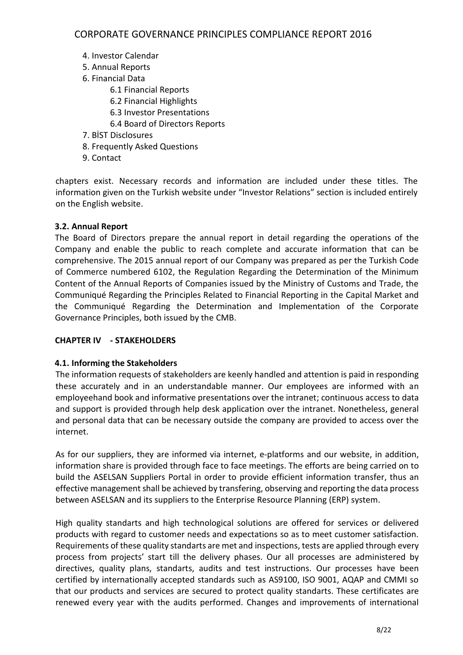- 4. Investor Calendar
- 5. Annual Reports
- 6. Financial Data
	- 6.1 Financial Reports
	- 6.2 Financial Highlights
	- 6.3 Investor Presentations
	- 6.4 Board of Directors Reports
- 7. BİST Disclosures
- 8. Frequently Asked Questions
- 9. Contact

chapters exist. Necessary records and information are included under these titles. The information given on the Turkish website under "Investor Relations" section is included entirely on the English website.

### **3.2. Annual Report**

The Board of Directors prepare the annual report in detail regarding the operations of the Company and enable the public to reach complete and accurate information that can be comprehensive. The 2015 annual report of our Company was prepared as per the Turkish Code of Commerce numbered 6102, the Regulation Regarding the Determination of the Minimum Content of the Annual Reports of Companies issued by the Ministry of Customs and Trade, the Communiqué Regarding the Principles Related to Financial Reporting in the Capital Market and the Communiqué Regarding the Determination and Implementation of the Corporate Governance Principles, both issued by the CMB.

### **CHAPTER IV - STAKEHOLDERS**

### **4.1. Informing the Stakeholders**

The information requests of stakeholders are keenly handled and attention is paid in responding these accurately and in an understandable manner. Our employees are informed with an employeehand book and informative presentations over the intranet; continuous access to data and support is provided through help desk application over the intranet. Nonetheless, general and personal data that can be necessary outside the company are provided to access over the internet.

As for our suppliers, they are informed via internet, e-platforms and our website, in addition, information share is provided through face to face meetings. The efforts are being carried on to build the ASELSAN Suppliers Portal in order to provide efficient information transfer, thus an effective management shall be achieved by transfering, observing and reporting the data process between ASELSAN and its suppliers to the Enterprise Resource Planning (ERP) system.

High quality standarts and high technological solutions are offered for services or delivered products with regard to customer needs and expectations so as to meet customer satisfaction. Requirements of these quality standarts are met and inspections, tests are applied through every process from projects' start till the delivery phases. Our all processes are administered by directives, quality plans, standarts, audits and test instructions. Our processes have been certified by internationally accepted standards such as AS9100, ISO 9001, AQAP and CMMI so that our products and services are secured to protect quality standarts. These certificates are renewed every year with the audits performed. Changes and improvements of international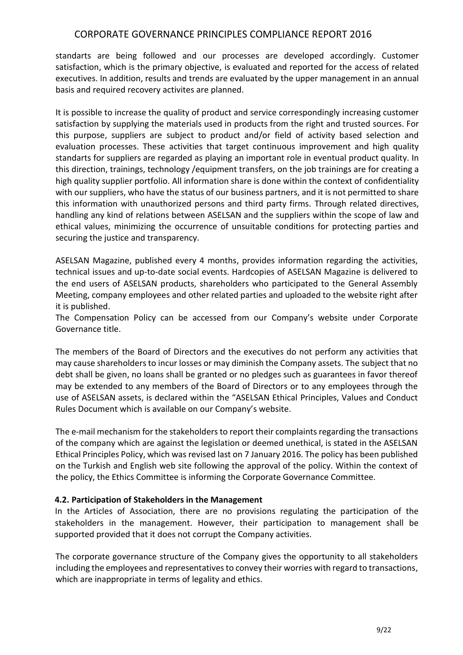standarts are being followed and our processes are developed accordingly. Customer satisfaction, which is the primary objective, is evaluated and reported for the access of related executives. In addition, results and trends are evaluated by the upper management in an annual basis and required recovery activites are planned.

It is possible to increase the quality of product and service correspondingly increasing customer satisfaction by supplying the materials used in products from the right and trusted sources. For this purpose, suppliers are subject to product and/or field of activity based selection and evaluation processes. These activities that target continuous improvement and high quality standarts for suppliers are regarded as playing an important role in eventual product quality. In this direction, trainings, technology /equipment transfers, on the job trainings are for creating a high quality supplier portfolio. All information share is done within the context of confidentiality with our suppliers, who have the status of our business partners, and it is not permitted to share this information with unauthorized persons and third party firms. Through related directives, handling any kind of relations between ASELSAN and the suppliers within the scope of law and ethical values, minimizing the occurrence of unsuitable conditions for protecting parties and securing the justice and transparency.

ASELSAN Magazine, published every 4 months, provides information regarding the activities, technical issues and up-to-date social events. Hardcopies of ASELSAN Magazine is delivered to the end users of ASELSAN products, shareholders who participated to the General Assembly Meeting, company employees and other related parties and uploaded to the website right after it is published.

The Compensation Policy can be accessed from our Company's website under Corporate Governance title.

The members of the Board of Directors and the executives do not perform any activities that may cause shareholders to incur losses or may diminish the Company assets. The subject that no debt shall be given, no loans shall be granted or no pledges such as guarantees in favor thereof may be extended to any members of the Board of Directors or to any employees through the use of ASELSAN assets, is declared within the "ASELSAN Ethical Principles, Values and Conduct Rules Document which is available on our Company's website.

The e-mail mechanism for the stakeholders to report their complaints regarding the transactions of the company which are against the legislation or deemed unethical, is stated in the ASELSAN Ethical Principles Policy, which was revised last on 7 January 2016. The policy has been published on the Turkish and English web site following the approval of the policy. Within the context of the policy, the Ethics Committee is informing the Corporate Governance Committee.

### **4.2. Participation of Stakeholders in the Management**

In the Articles of Association, there are no provisions regulating the participation of the stakeholders in the management. However, their participation to management shall be supported provided that it does not corrupt the Company activities.

The corporate governance structure of the Company gives the opportunity to all stakeholders including the employees and representatives to convey their worries with regard to transactions, which are inappropriate in terms of legality and ethics.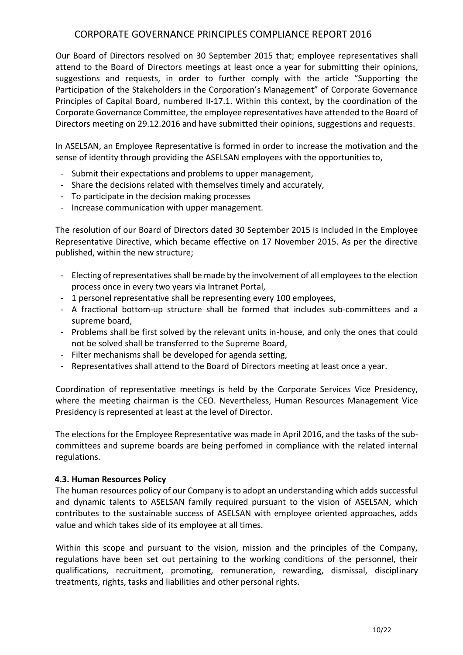Our Board of Directors resolved on 30 September 2015 that; employee representatives shall attend to the Board of Directors meetings at least once a year for submitting their opinions, suggestions and requests, in order to further comply with the article "Supporting the Participation of the Stakeholders in the Corporation's Management" of Corporate Governance Principles of Capital Board, numbered II-17.1. Within this context, by the coordination of the Corporate Governance Committee, the employee representatives have attended to the Board of Directors meeting on 29.12.2016 and have submitted their opinions, suggestions and requests.

In ASELSAN, an Employee Representative is formed in order to increase the motivation and the sense of identity through providing the ASELSAN employees with the opportunities to,

- Submit their expectations and problems to upper management,
- Share the decisions related with themselves timely and accurately,
- To participate in the decision making processes
- Increase communication with upper management.

The resolution of our Board of Directors dated 30 September 2015 is included in the Employee Representative Directive, which became effective on 17 November 2015. As per the directive published, within the new structure;

- Electing of representatives shall be made by the involvement of all employees to the election process once in every two years via Intranet Portal,
- 1 personel representative shall be representing every 100 employees,
- A fractional bottom-up structure shall be formed that includes sub-committees and a supreme board,
- Problems shall be first solved by the relevant units in-house, and only the ones that could not be solved shall be transferred to the Supreme Board,
- Filter mechanisms shall be developed for agenda setting,
- Representatives shall attend to the Board of Directors meeting at least once a year.

Coordination of representative meetings is held by the Corporate Services Vice Presidency, where the meeting chairman is the CEO. Nevertheless, Human Resources Management Vice Presidency is represented at least at the level of Director.

The elections for the Employee Representative was made in April 2016, and the tasks of the subcommittees and supreme boards are being perfomed in compliance with the related internal regulations.

#### **4.3. Human Resources Policy**

The human resources policy of our Company is to adopt an understanding which adds successful and dynamic talents to ASELSAN family required pursuant to the vision of ASELSAN, which contributes to the sustainable success of ASELSAN with employee oriented approaches, adds value and which takes side of its employee at all times.

Within this scope and pursuant to the vision, mission and the principles of the Company, regulations have been set out pertaining to the working conditions of the personnel, their qualifications, recruitment, promoting, remuneration, rewarding, dismissal, disciplinary treatments, rights, tasks and liabilities and other personal rights.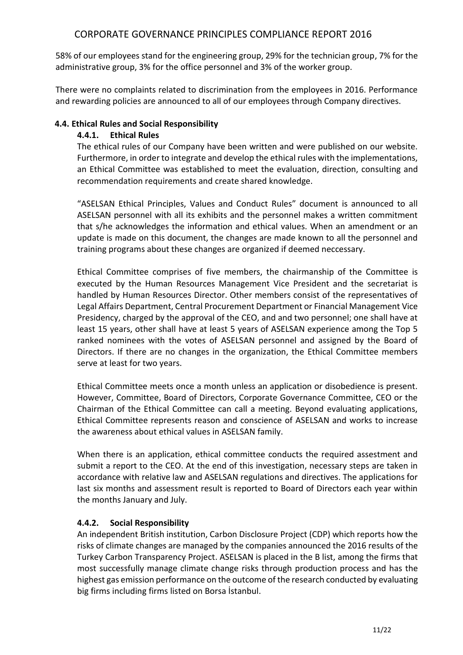58% of our employees stand for the engineering group, 29% for the technician group, 7% for the administrative group, 3% for the office personnel and 3% of the worker group.

There were no complaints related to discrimination from the employees in 2016. Performance and rewarding policies are announced to all of our employees through Company directives.

#### **4.4. Ethical Rules and Social Responsibility**

### **4.4.1. Ethical Rules**

The ethical rules of our Company have been written and were published on our website. Furthermore, in order to integrate and develop the ethical rules with the implementations, an Ethical Committee was established to meet the evaluation, direction, consulting and recommendation requirements and create shared knowledge.

"ASELSAN Ethical Principles, Values and Conduct Rules" document is announced to all ASELSAN personnel with all its exhibits and the personnel makes a written commitment that s/he acknowledges the information and ethical values. When an amendment or an update is made on this document, the changes are made known to all the personnel and training programs about these changes are organized if deemed neccessary.

Ethical Committee comprises of five members, the chairmanship of the Committee is executed by the Human Resources Management Vice President and the secretariat is handled by Human Resources Director. Other members consist of the representatives of Legal Affairs Department, Central Procurement Department or Financial Management Vice Presidency, charged by the approval of the CEO, and and two personnel; one shall have at least 15 years, other shall have at least 5 years of ASELSAN experience among the Top 5 ranked nominees with the votes of ASELSAN personnel and assigned by the Board of Directors. If there are no changes in the organization, the Ethical Committee members serve at least for two years.

Ethical Committee meets once a month unless an application or disobedience is present. However, Committee, Board of Directors, Corporate Governance Committee, CEO or the Chairman of the Ethical Committee can call a meeting. Beyond evaluating applications, Ethical Committee represents reason and conscience of ASELSAN and works to increase the awareness about ethical values in ASELSAN family.

When there is an application, ethical committee conducts the required assestment and submit a report to the CEO. At the end of this investigation, necessary steps are taken in accordance with relative law and ASELSAN regulations and directives. The applications for last six months and assessment result is reported to Board of Directors each year within the months January and July.

### **4.4.2. Social Responsibility**

An independent British institution, Carbon Disclosure Project (CDP) which reports how the risks of climate changes are managed by the companies announced the 2016 results of the Turkey Carbon Transparency Project. ASELSAN is placed in the B list, among the firms that most successfully manage climate change risks through production process and has the highest gas emission performance on the outcome of the research conducted by evaluating big firms including firms listed on Borsa İstanbul.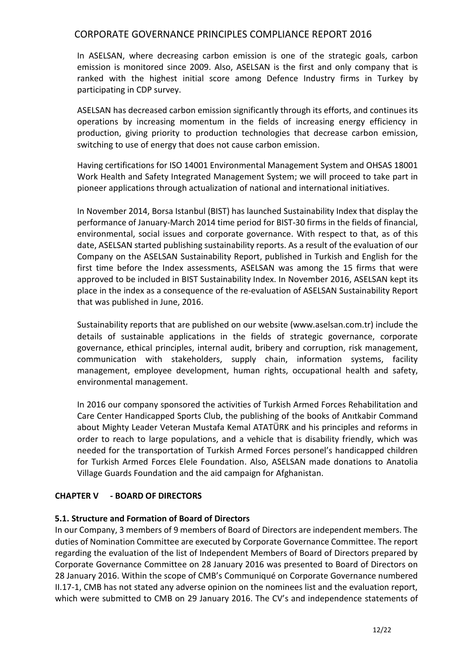In ASELSAN, where decreasing carbon emission is one of the strategic goals, carbon emission is monitored since 2009. Also, ASELSAN is the first and only company that is ranked with the highest initial score among Defence Industry firms in Turkey by participating in CDP survey.

ASELSAN has decreased carbon emission significantly through its efforts, and continues its operations by increasing momentum in the fields of increasing energy efficiency in production, giving priority to production technologies that decrease carbon emission, switching to use of energy that does not cause carbon emission.

Having certifications for ISO 14001 Environmental Management System and OHSAS 18001 Work Health and Safety Integrated Management System; we will proceed to take part in pioneer applications through actualization of national and international initiatives.

In November 2014, Borsa Istanbul (BIST) has launched Sustainability Index that display the performance of January-March 2014 time period for BIST-30 firms in the fields of financial, environmental, social issues and corporate governance. With respect to that, as of this date, ASELSAN started publishing sustainability reports. As a result of the evaluation of our Company on the ASELSAN Sustainability Report, published in Turkish and English for the first time before the Index assessments, ASELSAN was among the 15 firms that were approved to be included in BIST Sustainability Index. In November 2016, ASELSAN kept its place in the index as a consequence of the re-evaluation of ASELSAN Sustainability Report that was published in June, 2016.

Sustainability reports that are published on our website (www.aselsan.com.tr) include the details of sustainable applications in the fields of strategic governance, corporate governance, ethical principles, internal audit, bribery and corruption, risk management, communication with stakeholders, supply chain, information systems, facility management, employee development, human rights, occupational health and safety, environmental management.

In 2016 our company sponsored the activities of Turkish Armed Forces Rehabilitation and Care Center Handicapped Sports Club, the publishing of the books of Anıtkabir Command about Mighty Leader Veteran Mustafa Kemal ATATÜRK and his principles and reforms in order to reach to large populations, and a vehicle that is disability friendly, which was needed for the transportation of Turkish Armed Forces personel's handicapped children for Turkish Armed Forces Elele Foundation. Also, ASELSAN made donations to Anatolia Village Guards Foundation and the aid campaign for Afghanistan.

### **CHAPTER V - BOARD OF DIRECTORS**

#### **5.1. Structure and Formation of Board of Directors**

In our Company, 3 members of 9 members of Board of Directors are independent members. The duties of Nomination Committee are executed by Corporate Governance Committee. The report regarding the evaluation of the list of Independent Members of Board of Directors prepared by Corporate Governance Committee on 28 January 2016 was presented to Board of Directors on 28 January 2016. Within the scope of CMB's Communiqué on Corporate Governance numbered II.17-1, CMB has not stated any adverse opinion on the nominees list and the evaluation report, which were submitted to CMB on 29 January 2016. The CV's and independence statements of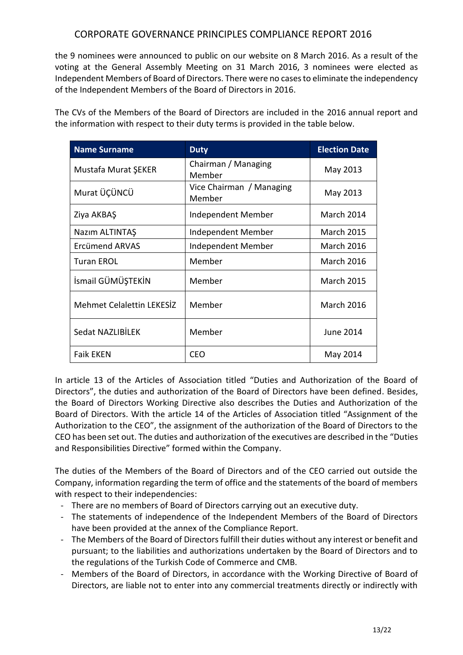the 9 nominees were announced to public on our website on 8 March 2016. As a result of the voting at the General Assembly Meeting on 31 March 2016, 3 nominees were elected as Independent Members of Board of Directors. There were no cases to eliminate the independency of the Independent Members of the Board of Directors in 2016.

The CVs of the Members of the Board of Directors are included in the 2016 annual report and the information with respect to their duty terms is provided in the table below.

| <b>Name Surname</b>              | <b>Duty</b>                        | <b>Election Date</b> |
|----------------------------------|------------------------------------|----------------------|
| Mustafa Murat ŞEKER              | Chairman / Managing<br>Member      | May 2013             |
| Murat ÜÇÜNCÜ                     | Vice Chairman / Managing<br>Member | May 2013             |
| Ziya AKBAŞ                       | Independent Member                 | <b>March 2014</b>    |
| Nazım ALTINTAŞ                   | Independent Member                 | <b>March 2015</b>    |
| Ercümend ARVAS                   | Independent Member                 | <b>March 2016</b>    |
| <b>Turan EROL</b>                | Member                             | <b>March 2016</b>    |
| İsmail GÜMÜŞTEKİN                | Member                             | <b>March 2015</b>    |
| <b>Mehmet Celalettin LEKESIZ</b> | Member                             | <b>March 2016</b>    |
| Sedat NAZLIBİLEK                 | Member                             | June 2014            |
| <b>Faik EKEN</b>                 | <b>CEO</b>                         | May 2014             |

In article 13 of the Articles of Association titled "Duties and Authorization of the Board of Directors", the duties and authorization of the Board of Directors have been defined. Besides, the Board of Directors Working Directive also describes the Duties and Authorization of the Board of Directors. With the article 14 of the Articles of Association titled "Assignment of the Authorization to the CEO", the assignment of the authorization of the Board of Directors to the CEO has been set out. The duties and authorization of the executives are described in the "Duties and Responsibilities Directive" formed within the Company.

The duties of the Members of the Board of Directors and of the CEO carried out outside the Company, information regarding the term of office and the statements of the board of members with respect to their independencies:

- There are no members of Board of Directors carrying out an executive duty.
- The statements of independence of the Independent Members of the Board of Directors have been provided at the annex of the Compliance Report.
- The Members of the Board of Directors fulfill their duties without any interest or benefit and pursuant; to the liabilities and authorizations undertaken by the Board of Directors and to the regulations of the Turkish Code of Commerce and CMB.
- Members of the Board of Directors, in accordance with the Working Directive of Board of Directors, are liable not to enter into any commercial treatments directly or indirectly with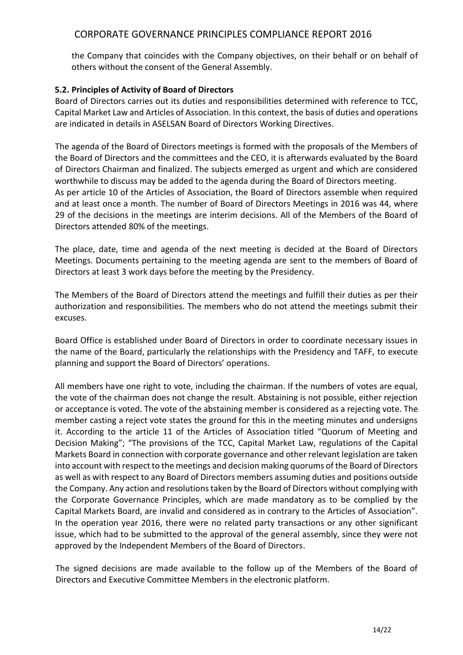the Company that coincides with the Company objectives, on their behalf or on behalf of others without the consent of the General Assembly.

### **5.2. Principles of Activity of Board of Directors**

Board of Directors carries out its duties and responsibilities determined with reference to TCC, Capital Market Law and Articles of Association. In this context, the basis of duties and operations are indicated in details in ASELSAN Board of Directors Working Directives.

The agenda of the Board of Directors meetings is formed with the proposals of the Members of the Board of Directors and the committees and the CEO, it is afterwards evaluated by the Board of Directors Chairman and finalized. The subjects emerged as urgent and which are considered worthwhile to discuss may be added to the agenda during the Board of Directors meeting. As per article 10 of the Articles of Association, the Board of Directors assemble when required and at least once a month. The number of Board of Directors Meetings in 2016 was 44, where 29 of the decisions in the meetings are interim decisions. All of the Members of the Board of Directors attended 80% of the meetings.

The place, date, time and agenda of the next meeting is decided at the Board of Directors Meetings. Documents pertaining to the meeting agenda are sent to the members of Board of Directors at least 3 work days before the meeting by the Presidency.

The Members of the Board of Directors attend the meetings and fulfill their duties as per their authorization and responsibilities. The members who do not attend the meetings submit their excuses.

Board Office is established under Board of Directors in order to coordinate necessary issues in the name of the Board, particularly the relationships with the Presidency and TAFF, to execute planning and support the Board of Directors' operations.

All members have one right to vote, including the chairman. If the numbers of votes are equal, the vote of the chairman does not change the result. Abstaining is not possible, either rejection or acceptance is voted. The vote of the abstaining member is considered as a rejecting vote. The member casting a reject vote states the ground for this in the meeting minutes and undersigns it. According to the article 11 of the Articles of Association titled "Quorum of Meeting and Decision Making"; "The provisions of the TCC, Capital Market Law, regulations of the Capital Markets Board in connection with corporate governance and other relevant legislation are taken into account with respect to the meetings and decision making quorums of the Board of Directors as well as with respect to any Board of Directors members assuming duties and positions outside the Company. Any action and resolutions taken by the Board of Directors without complying with the Corporate Governance Principles, which are made mandatory as to be complied by the Capital Markets Board, are invalid and considered as in contrary to the Articles of Association". In the operation year 2016, there were no related party transactions or any other significant issue, which had to be submitted to the approval of the general assembly, since they were not approved by the Independent Members of the Board of Directors.

The signed decisions are made available to the follow up of the Members of the Board of Directors and Executive Committee Members in the electronic platform.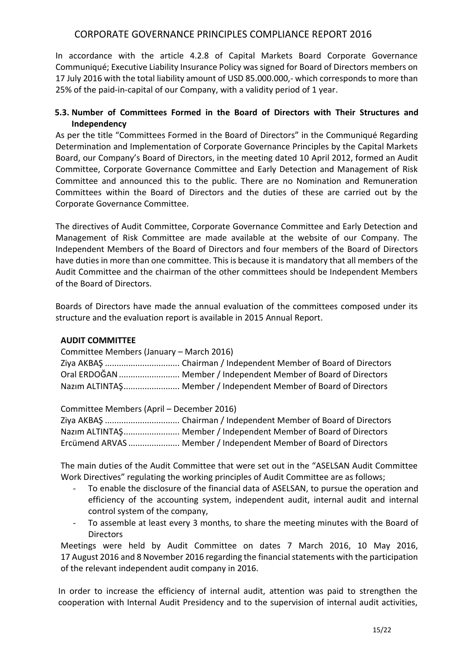In accordance with the article 4.2.8 of Capital Markets Board Corporate Governance Communiqué; Executive Liability Insurance Policy was signed for Board of Directors members on 17 July 2016 with the total liability amount of USD 85.000.000,- which corresponds to more than 25% of the paid-in-capital of our Company, with a validity period of 1 year.

### **5.3. Number of Committees Formed in the Board of Directors with Their Structures and Independency**

As per the title "Committees Formed in the Board of Directors" in the Communiqué Regarding Determination and Implementation of Corporate Governance Principles by the Capital Markets Board, our Company's Board of Directors, in the meeting dated 10 April 2012, formed an Audit Committee, Corporate Governance Committee and Early Detection and Management of Risk Committee and announced this to the public. There are no Nomination and Remuneration Committees within the Board of Directors and the duties of these are carried out by the Corporate Governance Committee.

The directives of Audit Committee, Corporate Governance Committee and Early Detection and Management of Risk Committee are made available at the website of our Company. The Independent Members of the Board of Directors and four members of the Board of Directors have duties in more than one committee. This is because it is mandatory that all members of the Audit Committee and the chairman of the other committees should be Independent Members of the Board of Directors.

Boards of Directors have made the annual evaluation of the committees composed under its structure and the evaluation report is available in 2015 Annual Report.

#### **AUDIT COMMITTEE**

| Committee Members (January – March 2016) |                                                                  |  |
|------------------------------------------|------------------------------------------------------------------|--|
|                                          |                                                                  |  |
|                                          | Oral ERDOĞAN  Member / Independent Member of Board of Directors  |  |
|                                          | Nazim ALTINTAŞ Member / Independent Member of Board of Directors |  |

Committee Members (April – December 2016)

| Nazim ALTINTAŞ Member / Independent Member of Board of Directors  |
|-------------------------------------------------------------------|
| Ercümend ARVAS  Member / Independent Member of Board of Directors |

The main duties of the Audit Committee that were set out in the "ASELSAN Audit Committee Work Directives" regulating the working principles of Audit Committee are as follows;

- To enable the disclosure of the financial data of ASELSAN, to pursue the operation and efficiency of the accounting system, independent audit, internal audit and internal control system of the company,
- To assemble at least every 3 months, to share the meeting minutes with the Board of **Directors**

Meetings were held by Audit Committee on dates 7 March 2016, 10 May 2016, 17 August 2016 and 8 November 2016 regarding the financial statements with the participation of the relevant independent audit company in 2016.

In order to increase the efficiency of internal audit, attention was paid to strengthen the cooperation with Internal Audit Presidency and to the supervision of internal audit activities,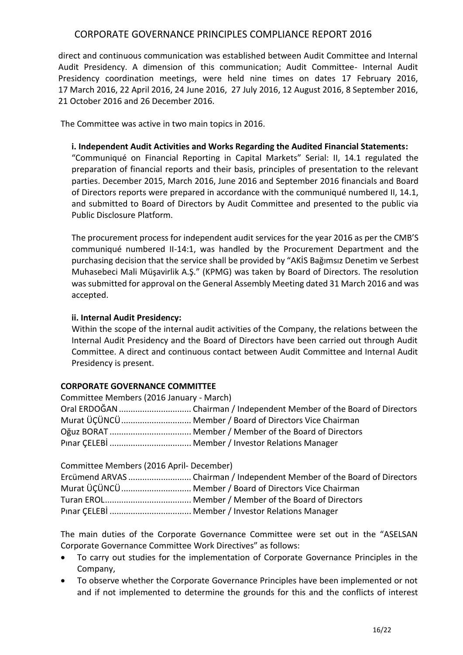direct and continuous communication was established between Audit Committee and Internal Audit Presidency. A dimension of this communication; Audit Committee- Internal Audit Presidency coordination meetings, were held nine times on dates 17 February 2016, 17 March 2016, 22 April 2016, 24 June 2016, 27 July 2016, 12 August 2016, 8 September 2016, 21 October 2016 and 26 December 2016.

The Committee was active in two main topics in 2016.

#### **i. Independent Audit Activities and Works Regarding the Audited Financial Statements:**

"Communiqué on Financial Reporting in Capital Markets" Serial: II, 14.1 regulated the preparation of financial reports and their basis, principles of presentation to the relevant parties. December 2015, March 2016, June 2016 and September 2016 financials and Board of Directors reports were prepared in accordance with the communiqué numbered II, 14.1, and submitted to Board of Directors by Audit Committee and presented to the public via Public Disclosure Platform.

The procurement process for independent audit services for the year 2016 as per the CMB'S communiqué numbered II-14:1, was handled by the Procurement Department and the purchasing decision that the service shall be provided by "AKİS Bağımsız Denetim ve Serbest Muhasebeci Mali Müşavirlik A.Ş." (KPMG) was taken by Board of Directors. The resolution was submitted for approval on the General Assembly Meeting dated 31 March 2016 and was accepted.

### **ii. Internal Audit Presidency:**

Within the scope of the internal audit activities of the Company, the relations between the Internal Audit Presidency and the Board of Directors have been carried out through Audit Committee. A direct and continuous contact between Audit Committee and Internal Audit Presidency is present.

### **CORPORATE GOVERNANCE COMMITTEE**

| Committee Members (2016 January - March) |                                                         |  |
|------------------------------------------|---------------------------------------------------------|--|
|                                          |                                                         |  |
|                                          | Murat ÜÇÜNCÜ  Member / Board of Directors Vice Chairman |  |
|                                          |                                                         |  |
|                                          |                                                         |  |

| Committee Members (2016 April- December) |                                                                        |
|------------------------------------------|------------------------------------------------------------------------|
|                                          | Ercümend ARVAS Chairman / Independent Member of the Board of Directors |
|                                          | Murat ÜÇÜNCÜ  Member / Board of Directors Vice Chairman                |
|                                          |                                                                        |
|                                          |                                                                        |

The main duties of the Corporate Governance Committee were set out in the "ASELSAN Corporate Governance Committee Work Directives" as follows:

- To carry out studies for the implementation of Corporate Governance Principles in the Company,
- To observe whether the Corporate Governance Principles have been implemented or not and if not implemented to determine the grounds for this and the conflicts of interest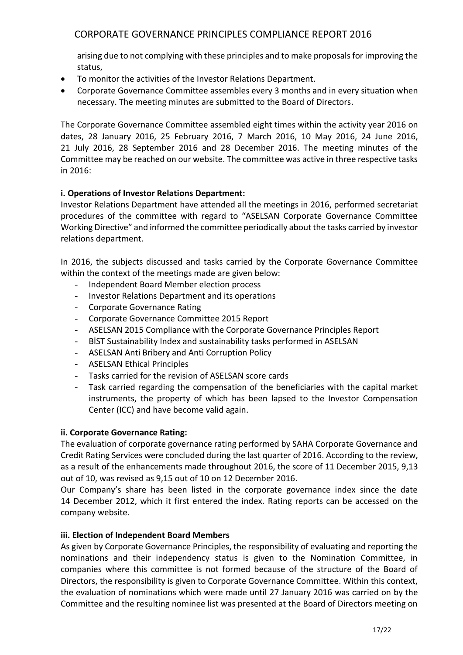arising due to not complying with these principles and to make proposals for improving the status,

- To monitor the activities of the Investor Relations Department.
- Corporate Governance Committee assembles every 3 months and in every situation when necessary. The meeting minutes are submitted to the Board of Directors.

The Corporate Governance Committee assembled eight times within the activity year 2016 on dates, 28 January 2016, 25 February 2016, 7 March 2016, 10 May 2016, 24 June 2016, 21 July 2016, 28 September 2016 and 28 December 2016. The meeting minutes of the Committee may be reached on our website. The committee was active in three respective tasks in 2016:

### **i. Operations of Investor Relations Department:**

Investor Relations Department have attended all the meetings in 2016, performed secretariat procedures of the committee with regard to "ASELSAN Corporate Governance Committee Working Directive" and informed the committee periodically about the tasks carried by investor relations department.

In 2016, the subjects discussed and tasks carried by the Corporate Governance Committee within the context of the meetings made are given below:

- Independent Board Member election process
- Investor Relations Department and its operations
- Corporate Governance Rating
- Corporate Governance Committee 2015 Report
- ASELSAN 2015 Compliance with the Corporate Governance Principles Report
- BİST Sustainability Index and sustainability tasks performed in ASELSAN
- ASELSAN Anti Bribery and Anti Corruption Policy
- ASELSAN Ethical Principles
- Tasks carried for the revision of ASELSAN score cards
- Task carried regarding the compensation of the beneficiaries with the capital market instruments, the property of which has been lapsed to the Investor Compensation Center (ICC) and have become valid again.

#### **ii. Corporate Governance Rating:**

The evaluation of corporate governance rating performed by SAHA Corporate Governance and Credit Rating Services were concluded during the last quarter of 2016. According to the review, as a result of the enhancements made throughout 2016, the score of 11 December 2015, 9,13 out of 10, was revised as 9,15 out of 10 on 12 December 2016.

Our Company's share has been listed in the corporate governance index since the date 14 December 2012, which it first entered the index. Rating reports can be accessed on the company website.

#### **iii. Election of Independent Board Members**

As given by Corporate Governance Principles, the responsibility of evaluating and reporting the nominations and their independency status is given to the Nomination Committee, in companies where this committee is not formed because of the structure of the Board of Directors, the responsibility is given to Corporate Governance Committee. Within this context, the evaluation of nominations which were made until 27 January 2016 was carried on by the Committee and the resulting nominee list was presented at the Board of Directors meeting on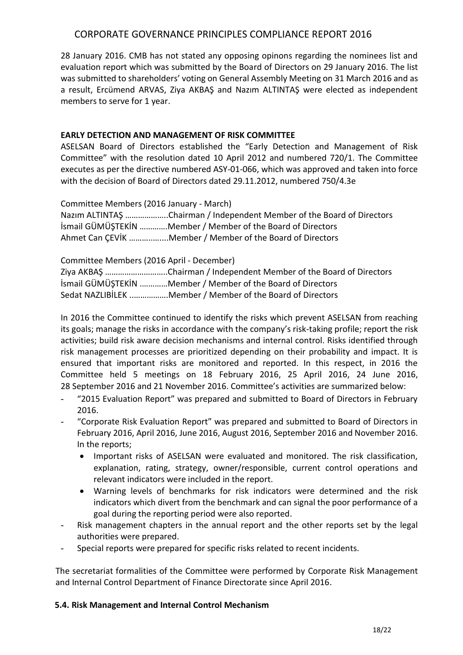28 January 2016. CMB has not stated any opposing opinons regarding the nominees list and evaluation report which was submitted by the Board of Directors on 29 January 2016. The list was submitted to shareholders' voting on General Assembly Meeting on 31 March 2016 and as a result, Ercümend ARVAS, Ziya AKBAŞ and Nazım ALTINTAŞ were elected as independent members to serve for 1 year.

### **EARLY DETECTION AND MANAGEMENT OF RISK COMMITTEE**

ASELSAN Board of Directors established the "Early Detection and Management of Risk Committee" with the resolution dated 10 April 2012 and numbered 720/1. The Committee executes as per the directive numbered ASY-01-066, which was approved and taken into force with the decision of Board of Directors dated 29.11.2012, numbered 750/4.3e

Committee Members (2016 January - March)

Nazım ALTINTAŞ ………………..Chairman / Independent Member of the Board of Directors İsmail GÜMÜŞTEKİN ………….Member / Member of the Board of Directors Ahmet Can ÇEVİK ………..…....Member / Member of the Board of Directors

Committee Members (2016 April - December)

Ziya AKBAŞ ………………………..Chairman / Independent Member of the Board of Directors İsmail GÜMÜŞTEKİN .…………Member / Member of the Board of Directors Sedat NAZLIBİLEK ..…………….Member / Member of the Board of Directors

In 2016 the Committee continued to identify the risks which prevent ASELSAN from reaching its goals; manage the risks in accordance with the company's risk-taking profile; report the risk activities; build risk aware decision mechanisms and internal control. Risks identified through risk management processes are prioritized depending on their probability and impact. It is ensured that important risks are monitored and reported. In this respect, in 2016 the Committee held 5 meetings on 18 February 2016, 25 April 2016, 24 June 2016, 28 September 2016 and 21 November 2016. Committee's activities are summarized below:

- "2015 Evaluation Report" was prepared and submitted to Board of Directors in February 2016.
- "Corporate Risk Evaluation Report" was prepared and submitted to Board of Directors in February 2016, April 2016, June 2016, August 2016, September 2016 and November 2016. In the reports;
	- Important risks of ASELSAN were evaluated and monitored. The risk classification, explanation, rating, strategy, owner/responsible, current control operations and relevant indicators were included in the report.
	- Warning levels of benchmarks for risk indicators were determined and the risk indicators which divert from the benchmark and can signal the poor performance of a goal during the reporting period were also reported.
- Risk management chapters in the annual report and the other reports set by the legal authorities were prepared.
- Special reports were prepared for specific risks related to recent incidents.

The secretariat formalities of the Committee were performed by Corporate Risk Management and Internal Control Department of Finance Directorate since April 2016.

#### **5.4. Risk Management and Internal Control Mechanism**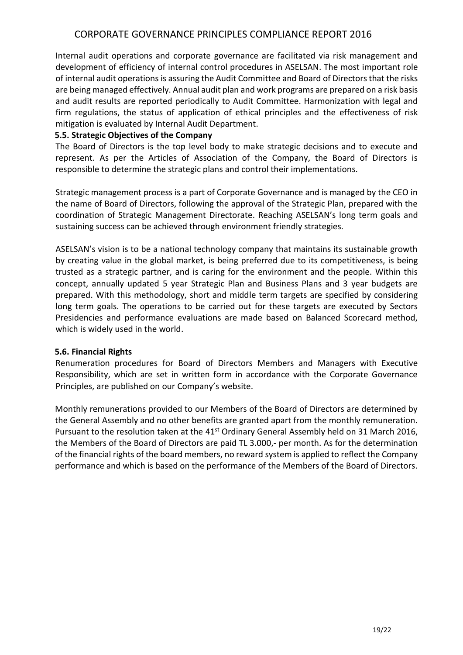Internal audit operations and corporate governance are facilitated via risk management and development of efficiency of internal control procedures in ASELSAN. The most important role of internal audit operations is assuring the Audit Committee and Board of Directors that the risks are being managed effectively. Annual audit plan and work programs are prepared on a risk basis and audit results are reported periodically to Audit Committee. Harmonization with legal and firm regulations, the status of application of ethical principles and the effectiveness of risk mitigation is evaluated by Internal Audit Department.

#### **5.5. Strategic Objectives of the Company**

The Board of Directors is the top level body to make strategic decisions and to execute and represent. As per the Articles of Association of the Company, the Board of Directors is responsible to determine the strategic plans and control their implementations.

Strategic management process is a part of Corporate Governance and is managed by the CEO in the name of Board of Directors, following the approval of the Strategic Plan, prepared with the coordination of Strategic Management Directorate. Reaching ASELSAN's long term goals and sustaining success can be achieved through environment friendly strategies.

ASELSAN's vision is to be a national technology company that maintains its sustainable growth by creating value in the global market, is being preferred due to its competitiveness, is being trusted as a strategic partner, and is caring for the environment and the people. Within this concept, annually updated 5 year Strategic Plan and Business Plans and 3 year budgets are prepared. With this methodology, short and middle term targets are specified by considering long term goals. The operations to be carried out for these targets are executed by Sectors Presidencies and performance evaluations are made based on Balanced Scorecard method, which is widely used in the world.

#### **5.6. Financial Rights**

Renumeration procedures for Board of Directors Members and Managers with Executive Responsibility, which are set in written form in accordance with the Corporate Governance Principles, are published on our Company's website.

Monthly remunerations provided to our Members of the Board of Directors are determined by the General Assembly and no other benefits are granted apart from the monthly remuneration. Pursuant to the resolution taken at the 41<sup>st</sup> Ordinary General Assembly held on 31 March 2016, the Members of the Board of Directors are paid TL 3.000,- per month. As for the determination of the financial rights of the board members, no reward system is applied to reflect the Company performance and which is based on the performance of the Members of the Board of Directors.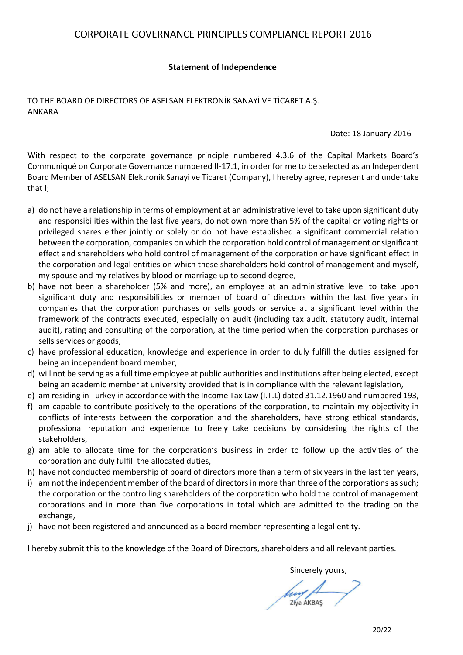#### **Statement of Independence**

TO THE BOARD OF DIRECTORS OF ASELSAN ELEKTRONİK SANAYİ VE TİCARET A.Ş. ANKARA

Date: 18 January 2016

With respect to the corporate governance principle numbered 4.3.6 of the Capital Markets Board's Communiqué on Corporate Governance numbered II-17.1, in order for me to be selected as an Independent Board Member of ASELSAN Elektronik Sanayi ve Ticaret (Company), I hereby agree, represent and undertake that I;

- a) do not have a relationship in terms of employment at an administrative level to take upon significant duty and responsibilities within the last five years, do not own more than 5% of the capital or voting rights or privileged shares either jointly or solely or do not have established a significant commercial relation between the corporation, companies on which the corporation hold control of management or significant effect and shareholders who hold control of management of the corporation or have significant effect in the corporation and legal entities on which these shareholders hold control of management and myself, my spouse and my relatives by blood or marriage up to second degree,
- b) have not been a shareholder (5% and more), an employee at an administrative level to take upon significant duty and responsibilities or member of board of directors within the last five years in companies that the corporation purchases or sells goods or service at a significant level within the framework of the contracts executed, especially on audit (including tax audit, statutory audit, internal audit), rating and consulting of the corporation, at the time period when the corporation purchases or sells services or goods,
- c) have professional education, knowledge and experience in order to duly fulfill the duties assigned for being an independent board member,
- d) will not be serving as a full time employee at public authorities and institutions after being elected, except being an academic member at university provided that is in compliance with the relevant legislation,
- e) am residing in Turkey in accordance with the Income Tax Law (I.T.L) dated 31.12.1960 and numbered 193,
- f) am capable to contribute positively to the operations of the corporation, to maintain my objectivity in conflicts of interests between the corporation and the shareholders, have strong ethical standards, professional reputation and experience to freely take decisions by considering the rights of the stakeholders,
- g) am able to allocate time for the corporation's business in order to follow up the activities of the corporation and duly fulfill the allocated duties,
- h) have not conducted membership of board of directors more than a term of six years in the last ten years,
- i) am not the independent member of the board of directors in more than three of the corporations as such; the corporation or the controlling shareholders of the corporation who hold the control of management corporations and in more than five corporations in total which are admitted to the trading on the exchange,
- j) have not been registered and announced as a board member representing a legal entity.

I hereby submit this to the knowledge of the Board of Directors, shareholders and all relevant parties.

Sincerely yours,

Ziya AKBAS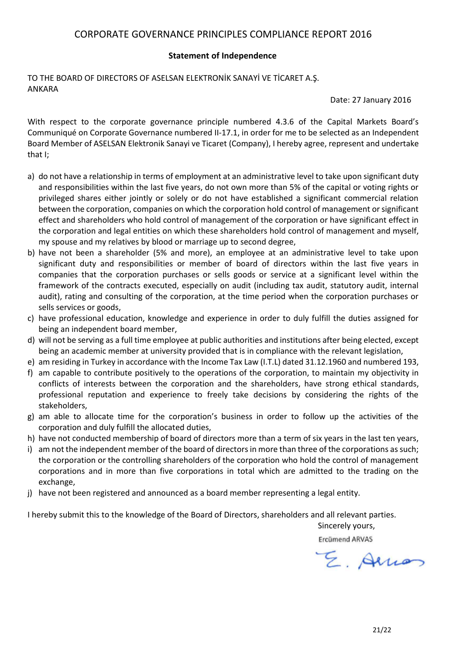#### **Statement of Independence**

TO THE BOARD OF DIRECTORS OF ASELSAN ELEKTRONİK SANAYİ VE TİCARET A.Ş. ANKARA

Date: 27 January 2016

With respect to the corporate governance principle numbered 4.3.6 of the Capital Markets Board's Communiqué on Corporate Governance numbered II-17.1, in order for me to be selected as an Independent Board Member of ASELSAN Elektronik Sanayi ve Ticaret (Company), I hereby agree, represent and undertake that I;

- a) do not have a relationship in terms of employment at an administrative level to take upon significant duty and responsibilities within the last five years, do not own more than 5% of the capital or voting rights or privileged shares either jointly or solely or do not have established a significant commercial relation between the corporation, companies on which the corporation hold control of management or significant effect and shareholders who hold control of management of the corporation or have significant effect in the corporation and legal entities on which these shareholders hold control of management and myself, my spouse and my relatives by blood or marriage up to second degree,
- b) have not been a shareholder (5% and more), an employee at an administrative level to take upon significant duty and responsibilities or member of board of directors within the last five years in companies that the corporation purchases or sells goods or service at a significant level within the framework of the contracts executed, especially on audit (including tax audit, statutory audit, internal audit), rating and consulting of the corporation, at the time period when the corporation purchases or sells services or goods,
- c) have professional education, knowledge and experience in order to duly fulfill the duties assigned for being an independent board member,
- d) will not be serving as a full time employee at public authorities and institutions after being elected, except being an academic member at university provided that is in compliance with the relevant legislation,
- e) am residing in Turkey in accordance with the Income Tax Law (I.T.L) dated 31.12.1960 and numbered 193,
- f) am capable to contribute positively to the operations of the corporation, to maintain my objectivity in conflicts of interests between the corporation and the shareholders, have strong ethical standards, professional reputation and experience to freely take decisions by considering the rights of the stakeholders,
- g) am able to allocate time for the corporation's business in order to follow up the activities of the corporation and duly fulfill the allocated duties,
- h) have not conducted membership of board of directors more than a term of six years in the last ten years,
- i) am not the independent member of the board of directors in more than three of the corporations as such; the corporation or the controlling shareholders of the corporation who hold the control of management corporations and in more than five corporations in total which are admitted to the trading on the exchange,
- j) have not been registered and announced as a board member representing a legal entity.

I hereby submit this to the knowledge of the Board of Directors, shareholders and all relevant parties.

Sincerely yours,

Ercümend ARVAS

E. Allian